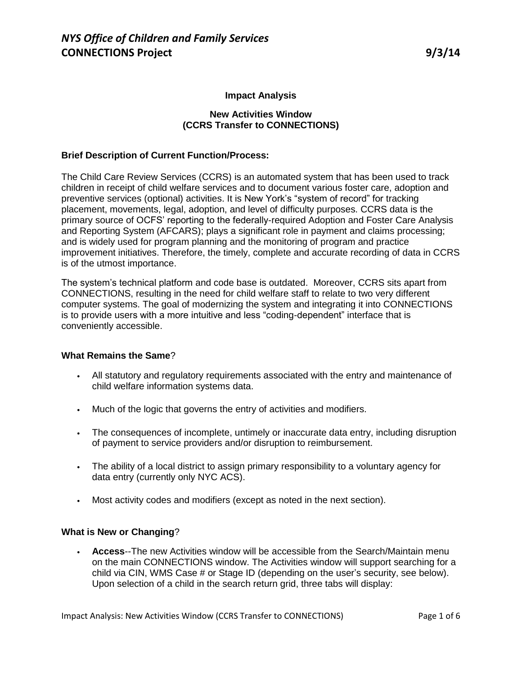## **Impact Analysis**

### **New Activities Window (CCRS Transfer to CONNECTIONS)**

### **Brief Description of Current Function/Process:**

The Child Care Review Services (CCRS) is an automated system that has been used to track children in receipt of child welfare services and to document various foster care, adoption and preventive services (optional) activities. It is New York's "system of record" for tracking placement, movements, legal, adoption, and level of difficulty purposes. CCRS data is the primary source of OCFS' reporting to the federally-required Adoption and Foster Care Analysis and Reporting System (AFCARS); plays a significant role in payment and claims processing; and is widely used for program planning and the monitoring of program and practice improvement initiatives. Therefore, the timely, complete and accurate recording of data in CCRS is of the utmost importance.

The system's technical platform and code base is outdated. Moreover, CCRS sits apart from CONNECTIONS, resulting in the need for child welfare staff to relate to two very different computer systems. The goal of modernizing the system and integrating it into CONNECTIONS is to provide users with a more intuitive and less "coding-dependent" interface that is conveniently accessible.

### **What Remains the Same**?

- All statutory and regulatory requirements associated with the entry and maintenance of child welfare information systems data.
- Much of the logic that governs the entry of activities and modifiers.
- The consequences of incomplete, untimely or inaccurate data entry, including disruption of payment to service providers and/or disruption to reimbursement.
- The ability of a local district to assign primary responsibility to a voluntary agency for data entry (currently only NYC ACS).
- Most activity codes and modifiers (except as noted in the next section).

### **What is New or Changing**?

• **Access**--The new Activities window will be accessible from the Search/Maintain menu on the main CONNECTIONS window. The Activities window will support searching for a child via CIN, WMS Case # or Stage ID (depending on the user's security, see below). Upon selection of a child in the search return grid, three tabs will display: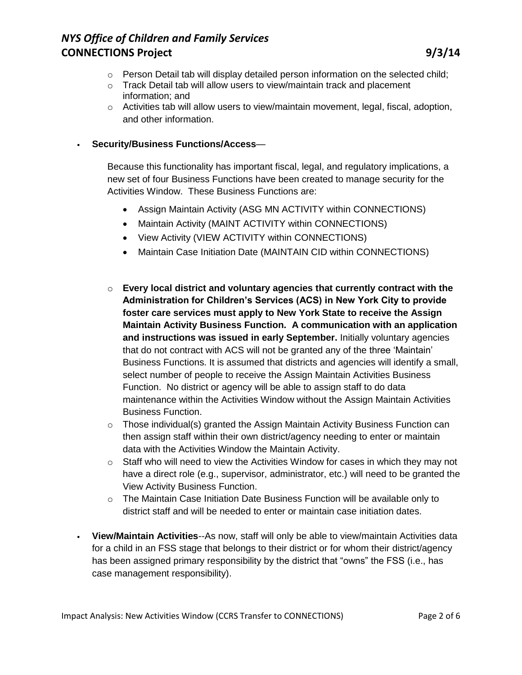- o Person Detail tab will display detailed person information on the selected child;
- o Track Detail tab will allow users to view/maintain track and placement information; and
- $\circ$  Activities tab will allow users to view/maintain movement, legal, fiscal, adoption, and other information.

## • **Security/Business Functions/Access**—

Because this functionality has important fiscal, legal, and regulatory implications, a new set of four Business Functions have been created to manage security for the Activities Window. These Business Functions are:

- Assign Maintain Activity (ASG MN ACTIVITY within CONNECTIONS)
- Maintain Activity (MAINT ACTIVITY within CONNECTIONS)
- View Activity (VIEW ACTIVITY within CONNECTIONS)
- Maintain Case Initiation Date (MAINTAIN CID within CONNECTIONS)
- o **Every local district and voluntary agencies that currently contract with the Administration for Children's Services (ACS) in New York City to provide foster care services must apply to New York State to receive the Assign Maintain Activity Business Function. A communication with an application and instructions was issued in early September.** Initially voluntary agencies that do not contract with ACS will not be granted any of the three 'Maintain' Business Functions. It is assumed that districts and agencies will identify a small, select number of people to receive the Assign Maintain Activities Business Function. No district or agency will be able to assign staff to do data maintenance within the Activities Window without the Assign Maintain Activities Business Function.
- $\circ$  Those individual(s) granted the Assign Maintain Activity Business Function can then assign staff within their own district/agency needing to enter or maintain data with the Activities Window the Maintain Activity.
- $\circ$  Staff who will need to view the Activities Window for cases in which they may not have a direct role (e.g., supervisor, administrator, etc.) will need to be granted the View Activity Business Function.
- $\circ$  The Maintain Case Initiation Date Business Function will be available only to district staff and will be needed to enter or maintain case initiation dates.
- **View/Maintain Activities**--As now, staff will only be able to view/maintain Activities data for a child in an FSS stage that belongs to their district or for whom their district/agency has been assigned primary responsibility by the district that "owns" the FSS (i.e., has case management responsibility).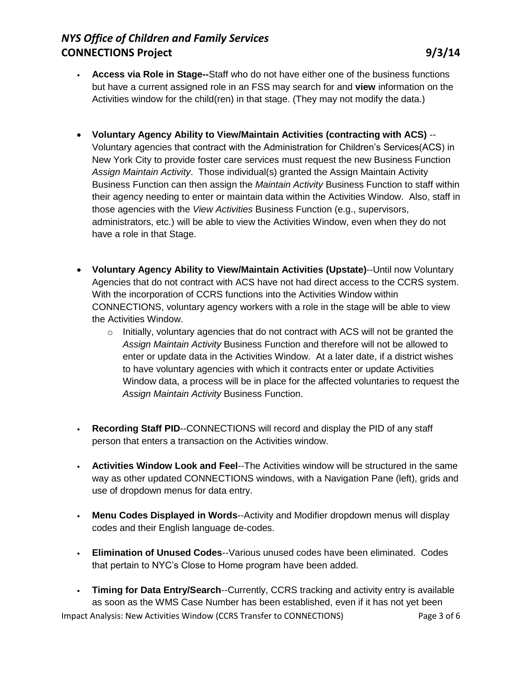- **Access via Role in Stage--**Staff who do not have either one of the business functions but have a current assigned role in an FSS may search for and **view** information on the Activities window for the child(ren) in that stage. (They may not modify the data.)
- **Voluntary Agency Ability to View/Maintain Activities (contracting with ACS)** -- Voluntary agencies that contract with the Administration for Children's Services(ACS) in New York City to provide foster care services must request the new Business Function *Assign Maintain Activity*. Those individual(s) granted the Assign Maintain Activity Business Function can then assign the *Maintain Activity* Business Function to staff within their agency needing to enter or maintain data within the Activities Window. Also, staff in those agencies with the *View Activities* Business Function (e.g., supervisors, administrators, etc.) will be able to view the Activities Window, even when they do not have a role in that Stage.
- **Voluntary Agency Ability to View/Maintain Activities (Upstate)**--Until now Voluntary Agencies that do not contract with ACS have not had direct access to the CCRS system. With the incorporation of CCRS functions into the Activities Window within CONNECTIONS, voluntary agency workers with a role in the stage will be able to view the Activities Window.
	- $\circ$  Initially, voluntary agencies that do not contract with ACS will not be granted the *Assign Maintain Activity* Business Function and therefore will not be allowed to enter or update data in the Activities Window. At a later date, if a district wishes to have voluntary agencies with which it contracts enter or update Activities Window data, a process will be in place for the affected voluntaries to request the *Assign Maintain Activity* Business Function.
- **Recording Staff PID**--CONNECTIONS will record and display the PID of any staff person that enters a transaction on the Activities window.
- **Activities Window Look and Feel**--The Activities window will be structured in the same way as other updated CONNECTIONS windows, with a Navigation Pane (left), grids and use of dropdown menus for data entry.
- **Menu Codes Displayed in Words**--Activity and Modifier dropdown menus will display codes and their English language de-codes.
- **Elimination of Unused Codes**--Various unused codes have been eliminated. Codes that pertain to NYC's Close to Home program have been added.
- Impact Analysis: New Activities Window (CCRS Transfer to CONNECTIONS) Page 3 of 6 • **Timing for Data Entry/Search**--Currently, CCRS tracking and activity entry is available as soon as the WMS Case Number has been established, even if it has not yet been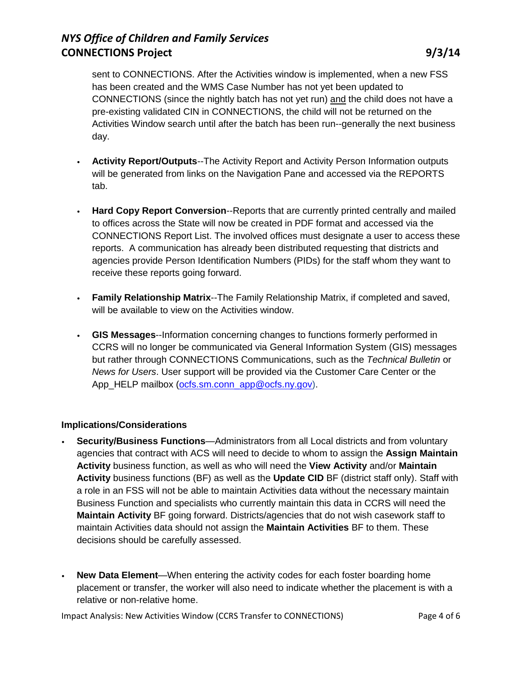sent to CONNECTIONS. After the Activities window is implemented, when a new FSS has been created and the WMS Case Number has not yet been updated to CONNECTIONS (since the nightly batch has not yet run) and the child does not have a pre-existing validated CIN in CONNECTIONS, the child will not be returned on the Activities Window search until after the batch has been run--generally the next business day.

- **Activity Report/Outputs**--The Activity Report and Activity Person Information outputs will be generated from links on the Navigation Pane and accessed via the REPORTS tab.
- **Hard Copy Report Conversion**--Reports that are currently printed centrally and mailed to offices across the State will now be created in PDF format and accessed via the CONNECTIONS Report List. The involved offices must designate a user to access these reports. A communication has already been distributed requesting that districts and agencies provide Person Identification Numbers (PIDs) for the staff whom they want to receive these reports going forward.
- **Family Relationship Matrix**--The Family Relationship Matrix, if completed and saved, will be available to view on the Activities window.
- **GIS Messages**--Information concerning changes to functions formerly performed in CCRS will no longer be communicated via General Information System (GIS) messages but rather through CONNECTIONS Communications, such as the *Technical Bulletin* or *News for Users*. User support will be provided via the Customer Care Center or the App\_HELP mailbox [\(ocfs.sm.conn\\_app@ocfs.ny.gov\)](mailto:ocfs.sm.conn_app@ocfs.ny.gov).

## **Implications/Considerations**

- **Security/Business Functions**—Administrators from all Local districts and from voluntary agencies that contract with ACS will need to decide to whom to assign the **Assign Maintain Activity** business function, as well as who will need the **View Activity** and/or **Maintain Activity** business functions (BF) as well as the **Update CID** BF (district staff only). Staff with a role in an FSS will not be able to maintain Activities data without the necessary maintain Business Function and specialists who currently maintain this data in CCRS will need the **Maintain Activity** BF going forward. Districts/agencies that do not wish casework staff to maintain Activities data should not assign the **Maintain Activities** BF to them. These decisions should be carefully assessed.
- **New Data Element**—When entering the activity codes for each foster boarding home placement or transfer, the worker will also need to indicate whether the placement is with a relative or non-relative home.

Impact Analysis: New Activities Window (CCRS Transfer to CONNECTIONS) Page 4 of 6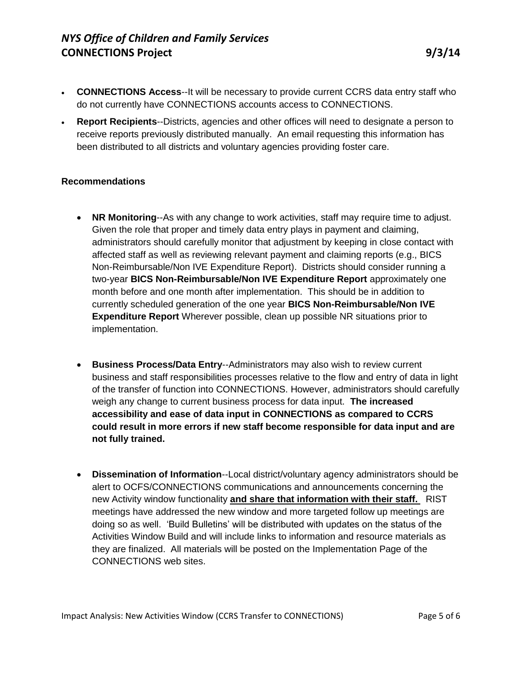- **CONNECTIONS Access**--It will be necessary to provide current CCRS data entry staff who do not currently have CONNECTIONS accounts access to CONNECTIONS.
- **Report Recipients**--Districts, agencies and other offices will need to designate a person to receive reports previously distributed manually. An email requesting this information has been distributed to all districts and voluntary agencies providing foster care.

### **Recommendations**

- **NR Monitoring**--As with any change to work activities, staff may require time to adjust. Given the role that proper and timely data entry plays in payment and claiming, administrators should carefully monitor that adjustment by keeping in close contact with affected staff as well as reviewing relevant payment and claiming reports (e.g., BICS Non-Reimbursable/Non IVE Expenditure Report). Districts should consider running a two-year **BICS Non-Reimbursable/Non IVE Expenditure Report** approximately one month before and one month after implementation. This should be in addition to currently scheduled generation of the one year **BICS Non-Reimbursable/Non IVE Expenditure Report** Wherever possible, clean up possible NR situations prior to implementation.
- **Business Process/Data Entry**--Administrators may also wish to review current business and staff responsibilities processes relative to the flow and entry of data in light of the transfer of function into CONNECTIONS. However, administrators should carefully weigh any change to current business process for data input. **The increased accessibility and ease of data input in CONNECTIONS as compared to CCRS could result in more errors if new staff become responsible for data input and are not fully trained.**
- **Dissemination of Information**--Local district/voluntary agency administrators should be alert to OCFS/CONNECTIONS communications and announcements concerning the new Activity window functionality **and share that information with their staff.** RIST meetings have addressed the new window and more targeted follow up meetings are doing so as well. 'Build Bulletins' will be distributed with updates on the status of the Activities Window Build and will include links to information and resource materials as they are finalized. All materials will be posted on the Implementation Page of the CONNECTIONS web sites.